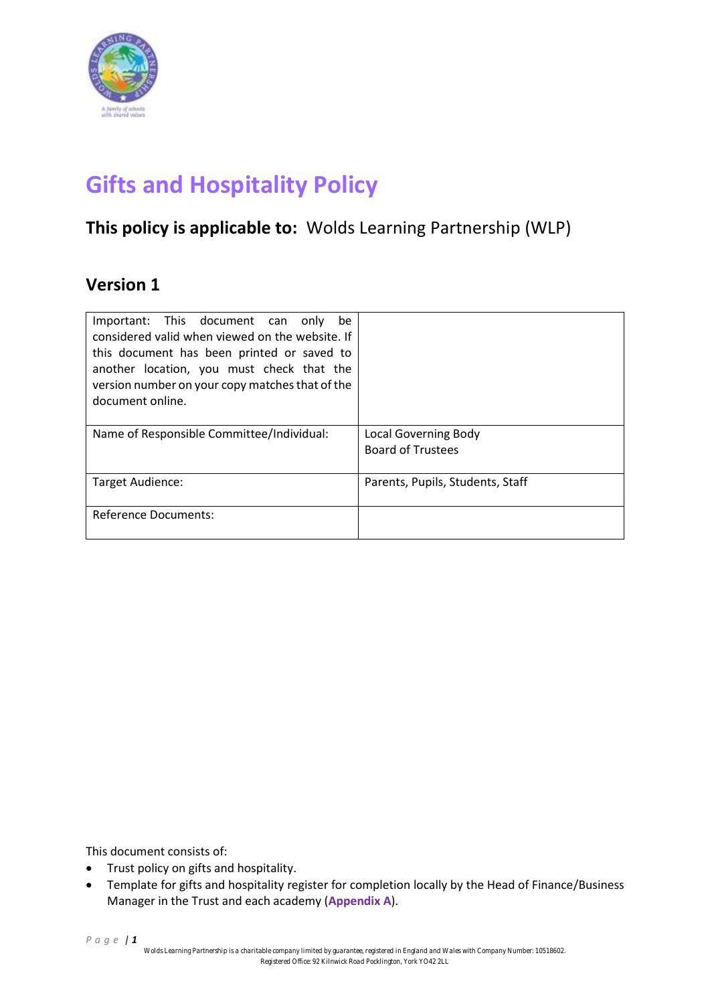

# **Gifts and Hospitality Policy**

### **This policy is applicable to:** Wolds Learning Partnership (WLP)

### **Version 1**

| Important: This document can<br>only<br>be<br>considered valid when viewed on the website. If<br>this document has been printed or saved to<br>another location, you must check that the<br>version number on your copy matches that of the<br>document online. |                                                         |
|-----------------------------------------------------------------------------------------------------------------------------------------------------------------------------------------------------------------------------------------------------------------|---------------------------------------------------------|
| Name of Responsible Committee/Individual:                                                                                                                                                                                                                       | <b>Local Governing Body</b><br><b>Board of Trustees</b> |
| Target Audience:                                                                                                                                                                                                                                                | Parents, Pupils, Students, Staff                        |
| <b>Reference Documents:</b>                                                                                                                                                                                                                                     |                                                         |

This document consists of:

- Trust policy on gifts and hospitality.
- Template for gifts and hospitality register for completion locally by the Head of Finance/Business Manager in the Trust and each academy (**Appendix A**).

*P a g e | 1*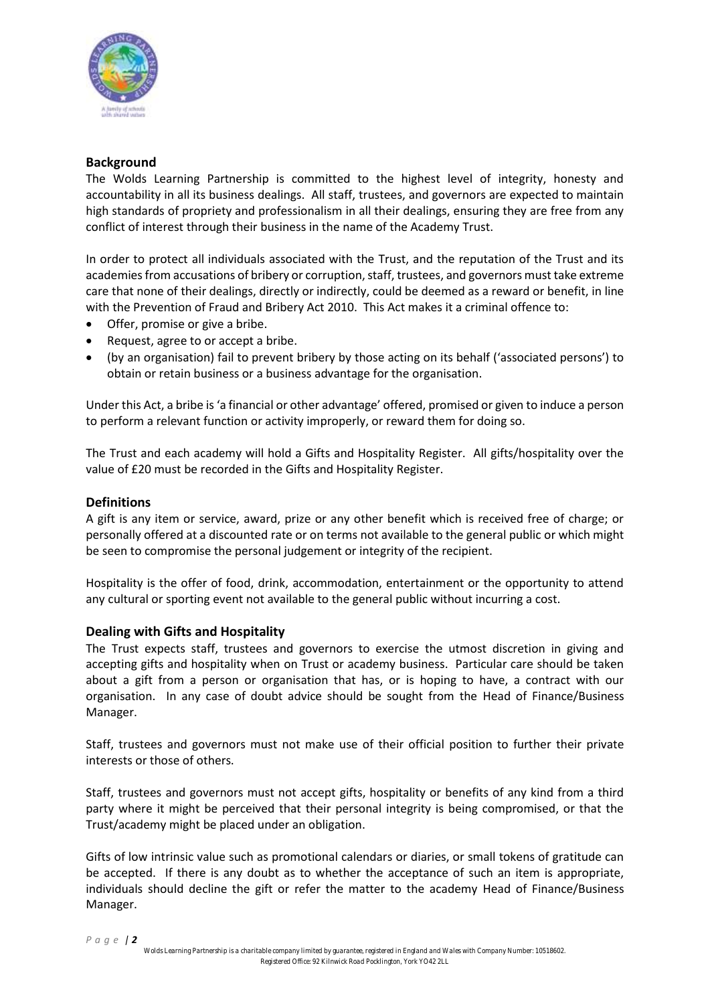

#### **Background**

The Wolds Learning Partnership is committed to the highest level of integrity, honesty and accountability in all its business dealings. All staff, trustees, and governors are expected to maintain high standards of propriety and professionalism in all their dealings, ensuring they are free from any conflict of interest through their business in the name of the Academy Trust.

In order to protect all individuals associated with the Trust, and the reputation of the Trust and its academies from accusations of bribery or corruption, staff, trustees, and governors must take extreme care that none of their dealings, directly or indirectly, could be deemed as a reward or benefit, in line with the Prevention of Fraud and Bribery Act 2010. This Act makes it a criminal offence to:

- Offer, promise or give a bribe.
- Request, agree to or accept a bribe.
- (by an organisation) fail to prevent bribery by those acting on its behalf ('associated persons') to obtain or retain business or a business advantage for the organisation.

Under this Act, a bribe is 'a financial or other advantage' offered, promised or given to induce a person to perform a relevant function or activity improperly, or reward them for doing so.

The Trust and each academy will hold a Gifts and Hospitality Register. All gifts/hospitality over the value of £20 must be recorded in the Gifts and Hospitality Register.

#### **Definitions**

A gift is any item or service, award, prize or any other benefit which is received free of charge; or personally offered at a discounted rate or on terms not available to the general public or which might be seen to compromise the personal judgement or integrity of the recipient.

Hospitality is the offer of food, drink, accommodation, entertainment or the opportunity to attend any cultural or sporting event not available to the general public without incurring a cost.

#### **Dealing with Gifts and Hospitality**

The Trust expects staff, trustees and governors to exercise the utmost discretion in giving and accepting gifts and hospitality when on Trust or academy business. Particular care should be taken about a gift from a person or organisation that has, or is hoping to have, a contract with our organisation. In any case of doubt advice should be sought from the Head of Finance/Business Manager.

Staff, trustees and governors must not make use of their official position to further their private interests or those of others.

Staff, trustees and governors must not accept gifts, hospitality or benefits of any kind from a third party where it might be perceived that their personal integrity is being compromised, or that the Trust/academy might be placed under an obligation.

Gifts of low intrinsic value such as promotional calendars or diaries, or small tokens of gratitude can be accepted. If there is any doubt as to whether the acceptance of such an item is appropriate, individuals should decline the gift or refer the matter to the academy Head of Finance/Business Manager.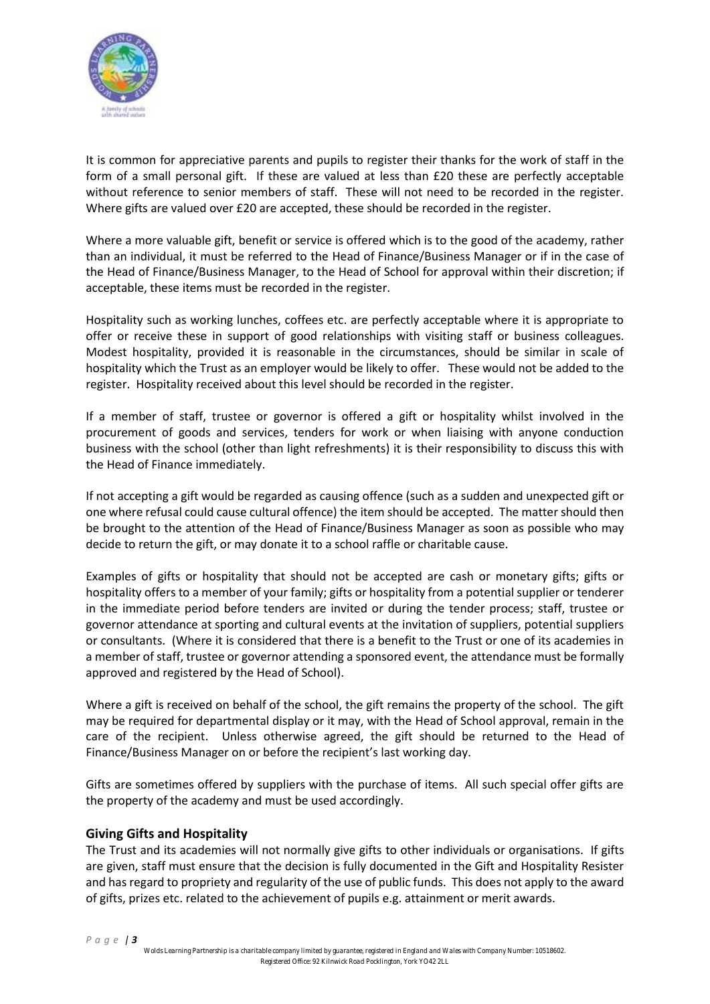

It is common for appreciative parents and pupils to register their thanks for the work of staff in the form of a small personal gift. If these are valued at less than £20 these are perfectly acceptable without reference to senior members of staff. These will not need to be recorded in the register. Where gifts are valued over £20 are accepted, these should be recorded in the register.

Where a more valuable gift, benefit or service is offered which is to the good of the academy, rather than an individual, it must be referred to the Head of Finance/Business Manager or if in the case of the Head of Finance/Business Manager, to the Head of School for approval within their discretion; if acceptable, these items must be recorded in the register.

Hospitality such as working lunches, coffees etc. are perfectly acceptable where it is appropriate to offer or receive these in support of good relationships with visiting staff or business colleagues. Modest hospitality, provided it is reasonable in the circumstances, should be similar in scale of hospitality which the Trust as an employer would be likely to offer. These would not be added to the register. Hospitality received about this level should be recorded in the register.

If a member of staff, trustee or governor is offered a gift or hospitality whilst involved in the procurement of goods and services, tenders for work or when liaising with anyone conduction business with the school (other than light refreshments) it is their responsibility to discuss this with the Head of Finance immediately.

If not accepting a gift would be regarded as causing offence (such as a sudden and unexpected gift or one where refusal could cause cultural offence) the item should be accepted. The matter should then be brought to the attention of the Head of Finance/Business Manager as soon as possible who may decide to return the gift, or may donate it to a school raffle or charitable cause.

Examples of gifts or hospitality that should not be accepted are cash or monetary gifts; gifts or hospitality offers to a member of your family; gifts or hospitality from a potential supplier or tenderer in the immediate period before tenders are invited or during the tender process; staff, trustee or governor attendance at sporting and cultural events at the invitation of suppliers, potential suppliers or consultants. (Where it is considered that there is a benefit to the Trust or one of its academies in a member of staff, trustee or governor attending a sponsored event, the attendance must be formally approved and registered by the Head of School).

Where a gift is received on behalf of the school, the gift remains the property of the school. The gift may be required for departmental display or it may, with the Head of School approval, remain in the care of the recipient. Unless otherwise agreed, the gift should be returned to the Head of Finance/Business Manager on or before the recipient's last working day.

Gifts are sometimes offered by suppliers with the purchase of items. All such special offer gifts are the property of the academy and must be used accordingly.

#### **Giving Gifts and Hospitality**

The Trust and its academies will not normally give gifts to other individuals or organisations. If gifts are given, staff must ensure that the decision is fully documented in the Gift and Hospitality Resister and has regard to propriety and regularity of the use of public funds. This does not apply to the award of gifts, prizes etc. related to the achievement of pupils e.g. attainment or merit awards.

*P a g e | 3*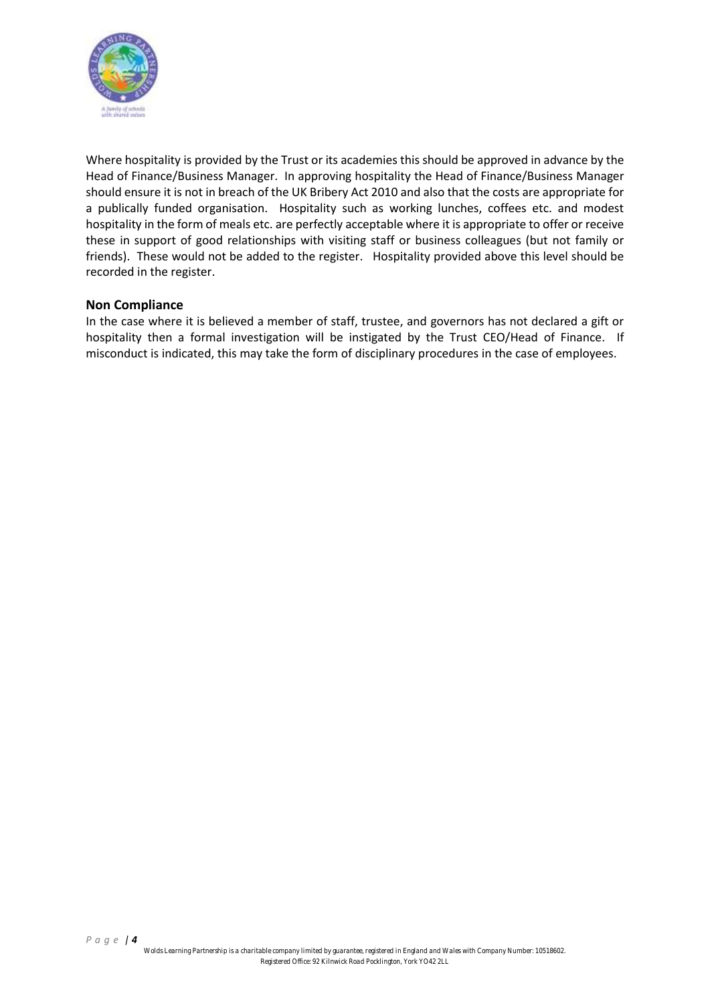

Where hospitality is provided by the Trust or its academies this should be approved in advance by the Head of Finance/Business Manager. In approving hospitality the Head of Finance/Business Manager should ensure it is not in breach of the UK Bribery Act 2010 and also that the costs are appropriate for a publically funded organisation. Hospitality such as working lunches, coffees etc. and modest hospitality in the form of meals etc. are perfectly acceptable where it is appropriate to offer or receive these in support of good relationships with visiting staff or business colleagues (but not family or friends). These would not be added to the register. Hospitality provided above this level should be recorded in the register.

#### **Non Compliance**

In the case where it is believed a member of staff, trustee, and governors has not declared a gift or hospitality then a formal investigation will be instigated by the Trust CEO/Head of Finance. If misconduct is indicated, this may take the form of disciplinary procedures in the case of employees.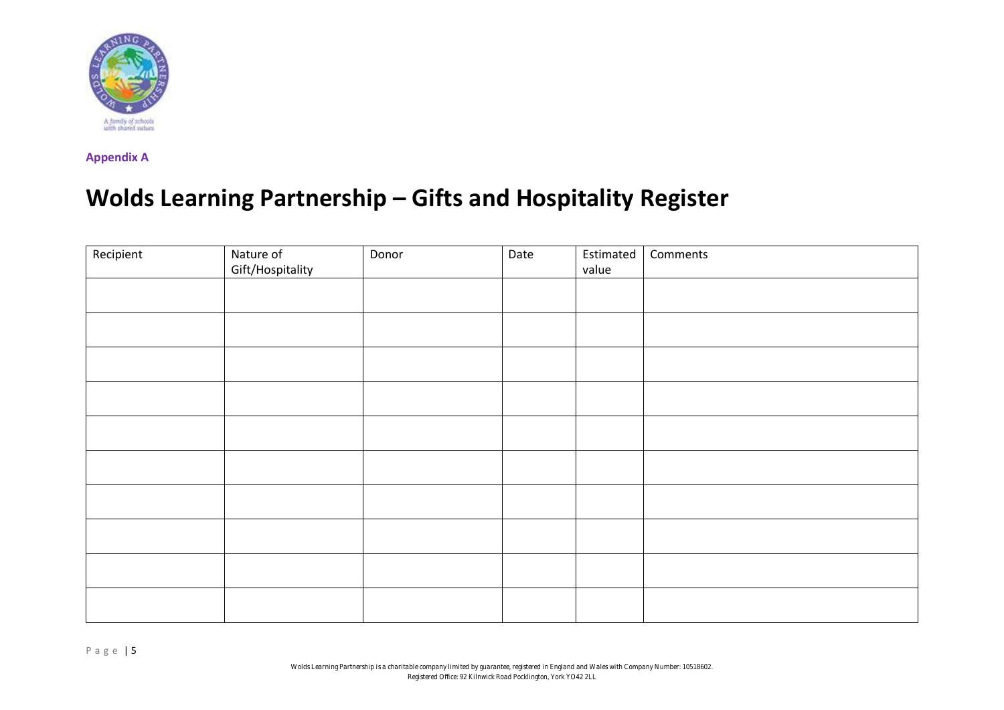

**Appendix A**

## **Wolds Learning Partnership – Gifts and Hospitality Register**

| Recipient | Nature of<br>Gift/Hospitality | Donor | Date | Estimated | Comments |
|-----------|-------------------------------|-------|------|-----------|----------|
|           |                               |       |      | value     |          |
|           |                               |       |      |           |          |
|           |                               |       |      |           |          |
|           |                               |       |      |           |          |
|           |                               |       |      |           |          |
|           |                               |       |      |           |          |
|           |                               |       |      |           |          |
|           |                               |       |      |           |          |
|           |                               |       |      |           |          |
|           |                               |       |      |           |          |
|           |                               |       |      |           |          |
|           |                               |       |      |           |          |